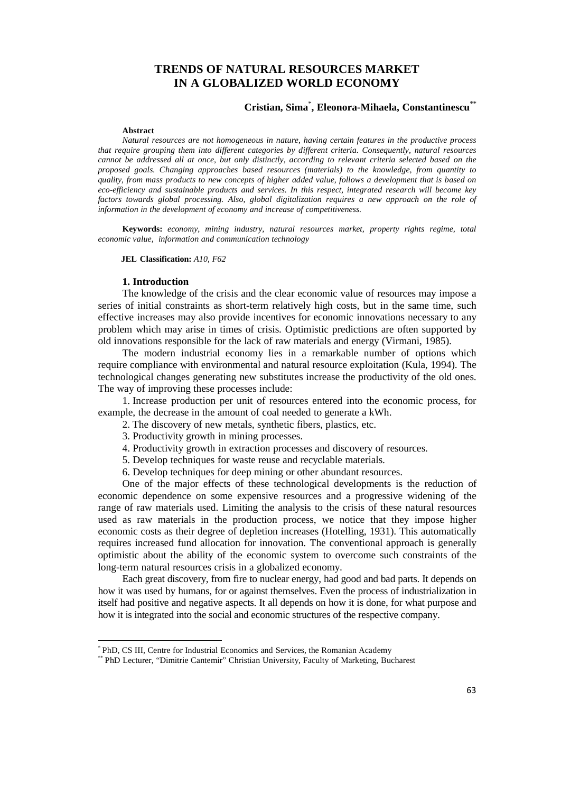# **TRENDS OF NATURAL RESOURCES MARKET IN A GLOBALIZED WORLD ECONOMY**

## **Cristian, Sima**\* **, Eleonora-Mihaela, Constantinescu**\*\*

#### **Abstract**

*Natural resources are not homogeneous in nature, having certain features in the productive process that require grouping them into different categories by different criteria. Consequently, natural resources cannot be addressed all at once, but only distinctly, according to relevant criteria selected based on the proposed goals. Changing approaches based resources (materials) to the knowledge, from quantity to quality, from mass products to new concepts of higher added value, follows a development that is based on eco-efficiency and sustainable products and services. In this respect, integrated research will become key factors towards global processing. Also, global digitalization requires a new approach on the role of information in the development of economy and increase of competitiveness.*

**Keywords:** *economy, mining industry, natural resources market, property rights regime, total economic value, information and communication technology*

**JEL Classification:** *A10, F62*

#### **1. Introduction**

The knowledge of the crisis and the clear economic value of resources may impose a series of initial constraints as short-term relatively high costs, but in the same time, such effective increases may also provide incentives for economic innovations necessary to any problem which may arise in times of crisis. Optimistic predictions are often supported by old innovations responsible for the lack of raw materials and energy (Virmani, 1985).

The modern industrial economy lies in a remarkable number of options which require compliance with environmental and natural resource exploitation (Kula, 1994). The technological changes generating new substitutes increase the productivity of the old ones. The way of improving these processes include:

1. Increase production per unit of resources entered into the economic process, for example, the decrease in the amount of coal needed to generate a kWh.

- 2. The discovery of new metals, synthetic fibers, plastics, etc.
- 3. Productivity growth in mining processes.
- 4. Productivity growth in extraction processes and discovery of resources.
- 5. Develop techniques for waste reuse and recyclable materials.
- 6. Develop techniques for deep mining or other abundant resources.

One of the major effects of these technological developments is the reduction of economic dependence on some expensive resources and a progressive widening of the range of raw materials used. Limiting the analysis to the crisis of these natural resources used as raw materials in the production process, we notice that they impose higher economic costs as their degree of depletion increases (Hotelling, 1931). This automatically requires increased fund allocation for innovation. The conventional approach is generally optimistic about the ability of the economic system to overcome such constraints of the long-term natural resources crisis in a globalized economy.

Each great discovery, from fire to nuclear energy, had good and bad parts. It depends on how it was used by humans, for or against themselves. Even the process of industrialization in itself had positive and negative aspects. It all depends on how it is done, for what purpose and how it is integrated into the social and economic structures of the respective company.

<sup>\*</sup> PhD, CS III, Centre for Industrial Economics and Services, the Romanian Academy

<sup>\*\*</sup> PhD Lecturer, "Dimitrie Cantemir" Christian University, Faculty of Marketing, Bucharest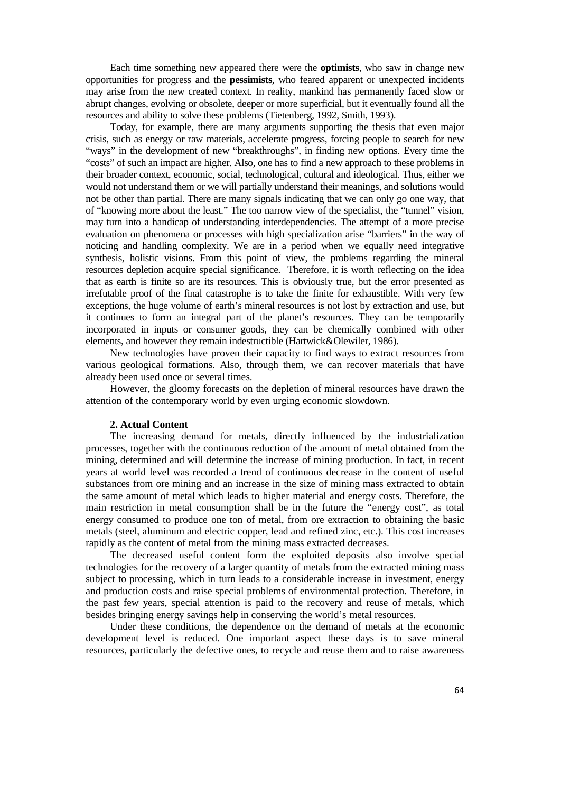Each time something new appeared there were the **optimists**, who saw in change new opportunities for progress and the **pessimists**, who feared apparent or unexpected incidents may arise from the new created context. In reality, mankind has permanently faced slow or abrupt changes, evolving or obsolete, deeper or more superficial, but it eventually found all the resources and ability to solve these problems (Tietenberg, 1992, Smith, 1993).

Today, for example, there are many arguments supporting the thesis that even major crisis, such as energy or raw materials, accelerate progress, forcing people to search for new "ways" in the development of new "breakthroughs", in finding new options. Every time the "costs" of such an impact are higher. Also, one has to find a new approach to these problems in their broader context, economic, social, technological, cultural and ideological. Thus, either we would not understand them or we will partially understand their meanings, and solutions would not be other than partial. There are many signals indicating that we can only go one way, that of "knowing more about the least." The too narrow view of the specialist, the "tunnel" vision, may turn into a handicap of understanding interdependencies. The attempt of a more precise evaluation on phenomena or processes with high specialization arise "barriers" in the way of noticing and handling complexity. We are in a period when we equally need integrative synthesis, holistic visions. From this point of view, the problems regarding the mineral resources depletion acquire special significance. Therefore, it is worth reflecting on the idea that as earth is finite so are its resources. This is obviously true, but the error presented as irrefutable proof of the final catastrophe is to take the finite for exhaustible. With very few exceptions, the huge volume of earth's mineral resources is not lost by extraction and use, but it continues to form an integral part of the planet's resources. They can be temporarily incorporated in inputs or consumer goods, they can be chemically combined with other elements, and however they remain indestructible (Hartwick&Olewiler, 1986).

New technologies have proven their capacity to find ways to extract resources from various geological formations. Also, through them, we can recover materials that have already been used once or several times.

However, the gloomy forecasts on the depletion of mineral resources have drawn the attention of the contemporary world by even urging economic slowdown.

#### **2. Actual Content**

The increasing demand for metals, directly influenced by the industrialization processes, together with the continuous reduction of the amount of metal obtained from the mining, determined and will determine the increase of mining production. In fact, in recent years at world level was recorded a trend of continuous decrease in the content of useful substances from ore mining and an increase in the size of mining mass extracted to obtain the same amount of metal which leads to higher material and energy costs. Therefore, the main restriction in metal consumption shall be in the future the "energy cost", as total energy consumed to produce one ton of metal, from ore extraction to obtaining the basic metals (steel, aluminum and electric copper, lead and refined zinc, etc.). This cost increases rapidly as the content of metal from the mining mass extracted decreases.

The decreased useful content form the exploited deposits also involve special technologies for the recovery of a larger quantity of metals from the extracted mining mass subject to processing, which in turn leads to a considerable increase in investment, energy and production costs and raise special problems of environmental protection. Therefore, in the past few years, special attention is paid to the recovery and reuse of metals, which besides bringing energy savings help in conserving the world's metal resources.

Under these conditions, the dependence on the demand of metals at the economic development level is reduced. One important aspect these days is to save mineral resources, particularly the defective ones, to recycle and reuse them and to raise awareness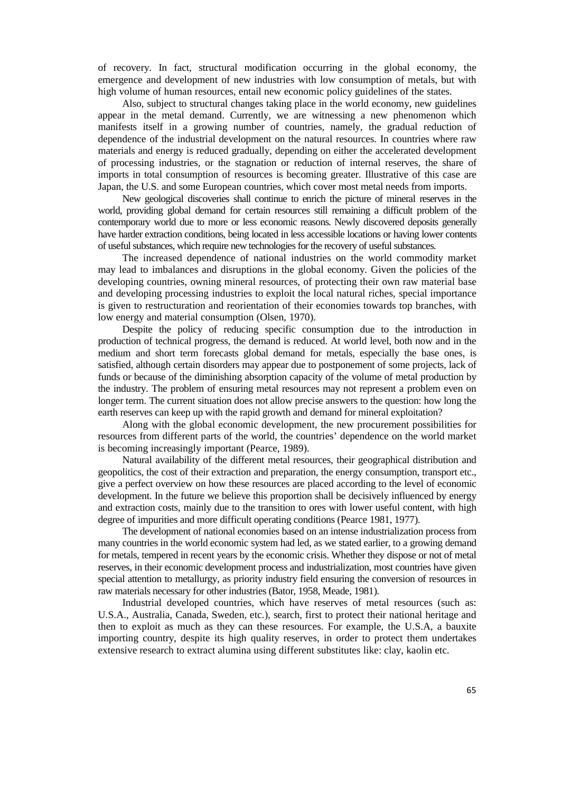of recovery. In fact, structural modification occurring in the global economy, the emergence and development of new industries with low consumption of metals, but with high volume of human resources, entail new economic policy guidelines of the states.

Also, subject to structural changes taking place in the world economy, new guidelines appear in the metal demand. Currently, we are witnessing a new phenomenon which manifests itself in a growing number of countries, namely, the gradual reduction of dependence of the industrial development on the natural resources. In countries where raw materials and energy is reduced gradually, depending on either the accelerated development of processing industries, or the stagnation or reduction of internal reserves, the share of imports in total consumption of resources is becoming greater. Illustrative of this case are Japan, the U.S. and some European countries, which cover most metal needs from imports.

New geological discoveries shall continue to enrich the picture of mineral reserves in the world, providing global demand for certain resources still remaining a difficult problem of the contemporary world due to more or less economic reasons. Newly discovered deposits generally have harder extraction conditions, being located in less accessible locations or having lower contents of useful substances, which require new technologies for the recovery of useful substances.

The increased dependence of national industries on the world commodity market may lead to imbalances and disruptions in the global economy. Given the policies of the developing countries, owning mineral resources, of protecting their own raw material base and developing processing industries to exploit the local natural riches, special importance is given to restructuration and reorientation of their economies towards top branches, with low energy and material consumption (Olsen, 1970).

Despite the policy of reducing specific consumption due to the introduction in production of technical progress, the demand is reduced. At world level, both now and in the medium and short term forecasts global demand for metals, especially the base ones, is satisfied, although certain disorders may appear due to postponement of some projects, lack of funds or because of the diminishing absorption capacity of the volume of metal production by the industry. The problem of ensuring metal resources may not represent a problem even on longer term. The current situation does not allow precise answers to the question: how long the earth reserves can keep up with the rapid growth and demand for mineral exploitation?

Along with the global economic development, the new procurement possibilities for resources from different parts of the world, the countries' dependence on the world market is becoming increasingly important (Pearce, 1989).

Natural availability of the different metal resources, their geographical distribution and geopolitics, the cost of their extraction and preparation, the energy consumption, transport etc., give a perfect overview on how these resources are placed according to the level of economic development. In the future we believe this proportion shall be decisively influenced by energy and extraction costs, mainly due to the transition to ores with lower useful content, with high degree of impurities and more difficult operating conditions (Pearce 1981, 1977).

The development of national economies based on an intense industrialization process from many countries in the world economic system had led, as we stated earlier, to a growing demand for metals, tempered in recent years by the economic crisis. Whether they dispose or not of metal reserves, in their economic development process and industrialization, most countries have given special attention to metallurgy, as priority industry field ensuring the conversion of resources in raw materials necessary for other industries (Bator, 1958, Meade, 1981).

Industrial developed countries, which have reserves of metal resources (such as: U.S.A., Australia, Canada, Sweden, etc.), search, first to protect their national heritage and then to exploit as much as they can these resources. For example, the U.S.A, a bauxite importing country, despite its high quality reserves, in order to protect them undertakes extensive research to extract alumina using different substitutes like: clay, kaolin etc.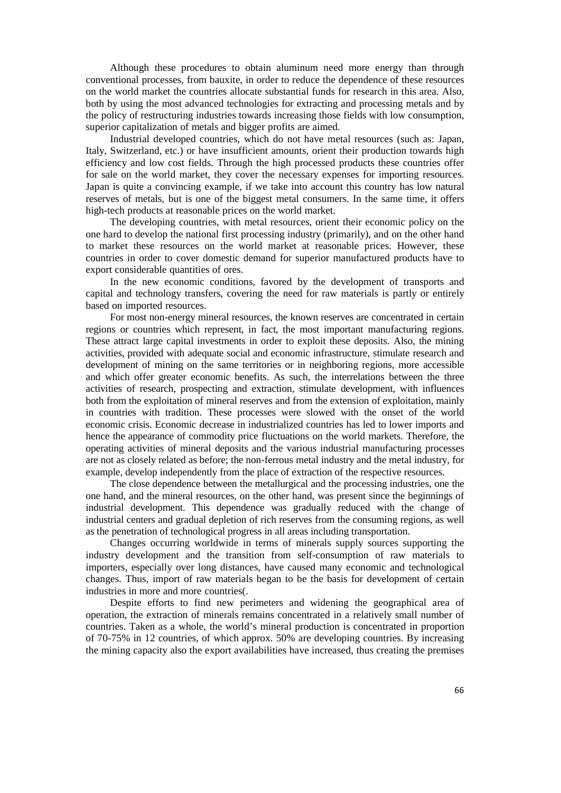Although these procedures to obtain aluminum need more energy than through conventional processes, from bauxite, in order to reduce the dependence of these resources on the world market the countries allocate substantial funds for research in this area. Also, both by using the most advanced technologies for extracting and processing metals and by the policy of restructuring industries towards increasing those fields with low consumption, superior capitalization of metals and bigger profits are aimed.

Industrial developed countries, which do not have metal resources (such as: Japan, Italy, Switzerland, etc.) or have insufficient amounts, orient their production towards high efficiency and low cost fields. Through the high processed products these countries offer for sale on the world market, they cover the necessary expenses for importing resources. Japan is quite a convincing example, if we take into account this country has low natural reserves of metals, but is one of the biggest metal consumers. In the same time, it offers high-tech products at reasonable prices on the world market.

The developing countries, with metal resources, orient their economic policy on the one hard to develop the national first processing industry (primarily), and on the other hand to market these resources on the world market at reasonable prices. However, these countries in order to cover domestic demand for superior manufactured products have to export considerable quantities of ores.

In the new economic conditions, favored by the development of transports and capital and technology transfers, covering the need for raw materials is partly or entirely based on imported resources.

For most non-energy mineral resources, the known reserves are concentrated in certain regions or countries which represent, in fact, the most important manufacturing regions. These attract large capital investments in order to exploit these deposits. Also, the mining activities, provided with adequate social and economic infrastructure, stimulate research and development of mining on the same territories or in neighboring regions, more accessible and which offer greater economic benefits. As such, the interrelations between the three activities of research, prospecting and extraction, stimulate development, with influences both from the exploitation of mineral reserves and from the extension of exploitation, mainly in countries with tradition. These processes were slowed with the onset of the world economic crisis. Economic decrease in industrialized countries has led to lower imports and hence the appearance of commodity price fluctuations on the world markets. Therefore, the operating activities of mineral deposits and the various industrial manufacturing processes are not as closely related as before; the non-ferrous metal industry and the metal industry, for example, develop independently from the place of extraction of the respective resources.

The close dependence between the metallurgical and the processing industries, one the one hand, and the mineral resources, on the other hand, was present since the beginnings of industrial development. This dependence was gradually reduced with the change of industrial centers and gradual depletion of rich reserves from the consuming regions, as well as the penetration of technological progress in all areas including transportation.

Changes occurring worldwide in terms of minerals supply sources supporting the industry development and the transition from self-consumption of raw materials to importers, especially over long distances, have caused many economic and technological changes. Thus, import of raw materials began to be the basis for development of certain industries in more and more countries(.

Despite efforts to find new perimeters and widening the geographical area of operation, the extraction of minerals remains concentrated in a relatively small number of countries. Taken as a whole, the world's mineral production is concentrated in proportion of 70-75% in 12 countries, of which approx. 50% are developing countries. By increasing the mining capacity also the export availabilities have increased, thus creating the premises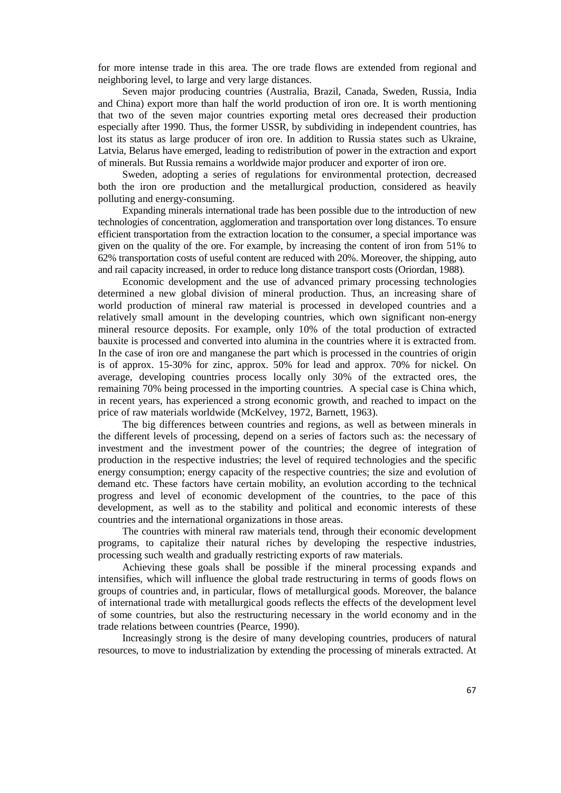for more intense trade in this area. The ore trade flows are extended from regional and neighboring level, to large and very large distances.

Seven major producing countries (Australia, Brazil, Canada, Sweden, Russia, India and China) export more than half the world production of iron ore. It is worth mentioning that two of the seven major countries exporting metal ores decreased their production especially after 1990. Thus, the former USSR, by subdividing in independent countries, has lost its status as large producer of iron ore. In addition to Russia states such as Ukraine, Latvia, Belarus have emerged, leading to redistribution of power in the extraction and export of minerals. But Russia remains a worldwide major producer and exporter of iron ore.

Sweden, adopting a series of regulations for environmental protection, decreased both the iron ore production and the metallurgical production, considered as heavily polluting and energy-consuming.

Expanding minerals international trade has been possible due to the introduction of new technologies of concentration, agglomeration and transportation over long distances. To ensure efficient transportation from the extraction location to the consumer, a special importance was given on the quality of the ore. For example, by increasing the content of iron from 51% to 62% transportation costs of useful content are reduced with 20%. Moreover, the shipping, auto and rail capacity increased, in order to reduce long distance transport costs (Oriordan, 1988).

Economic development and the use of advanced primary processing technologies determined a new global division of mineral production. Thus, an increasing share of world production of mineral raw material is processed in developed countries and a relatively small amount in the developing countries, which own significant non-energy mineral resource deposits. For example, only 10% of the total production of extracted bauxite is processed and converted into alumina in the countries where it is extracted from. In the case of iron ore and manganese the part which is processed in the countries of origin is of approx. 15-30% for zinc, approx. 50% for lead and approx. 70% for nickel. On average, developing countries process locally only 30% of the extracted ores, the remaining 70% being processed in the importing countries. A special case is China which, in recent years, has experienced a strong economic growth, and reached to impact on the price of raw materials worldwide (McKelvey, 1972, Barnett, 1963).

The big differences between countries and regions, as well as between minerals in the different levels of processing, depend on a series of factors such as: the necessary of investment and the investment power of the countries; the degree of integration of production in the respective industries; the level of required technologies and the specific energy consumption; energy capacity of the respective countries; the size and evolution of demand etc. These factors have certain mobility, an evolution according to the technical progress and level of economic development of the countries, to the pace of this development, as well as to the stability and political and economic interests of these countries and the international organizations in those areas.

The countries with mineral raw materials tend, through their economic development programs, to capitalize their natural riches by developing the respective industries, processing such wealth and gradually restricting exports of raw materials.

Achieving these goals shall be possible if the mineral processing expands and intensifies, which will influence the global trade restructuring in terms of goods flows on groups of countries and, in particular, flows of metallurgical goods. Moreover, the balance of international trade with metallurgical goods reflects the effects of the development level of some countries, but also the restructuring necessary in the world economy and in the trade relations between countries (Pearce, 1990).

Increasingly strong is the desire of many developing countries, producers of natural resources, to move to industrialization by extending the processing of minerals extracted. At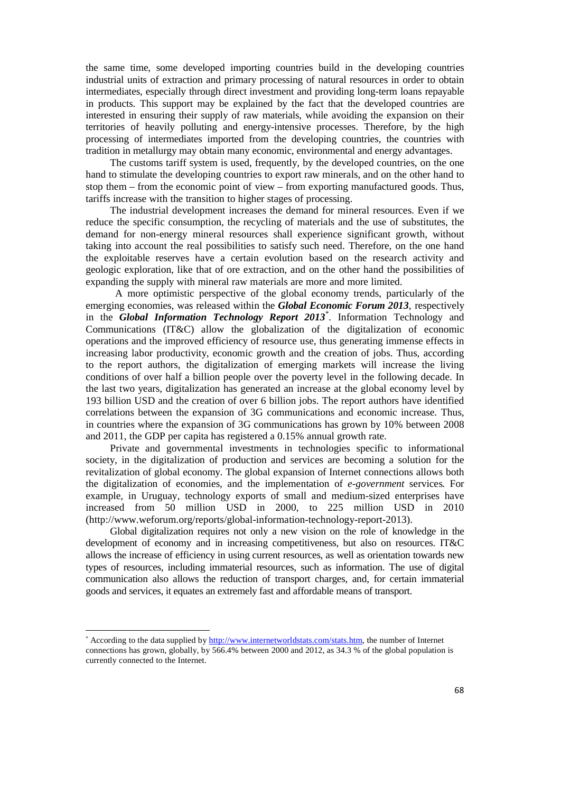the same time, some developed importing countries build in the developing countries industrial units of extraction and primary processing of natural resources in order to obtain intermediates, especially through direct investment and providing long-term loans repayable in products. This support may be explained by the fact that the developed countries are interested in ensuring their supply of raw materials, while avoiding the expansion on their territories of heavily polluting and energy-intensive processes. Therefore, by the high processing of intermediates imported from the developing countries, the countries with tradition in metallurgy may obtain many economic, environmental and energy advantages.

The customs tariff system is used, frequently, by the developed countries, on the one hand to stimulate the developing countries to export raw minerals, and on the other hand to stop them – from the economic point of view – from exporting manufactured goods. Thus, tariffs increase with the transition to higher stages of processing.

The industrial development increases the demand for mineral resources. Even if we reduce the specific consumption, the recycling of materials and the use of substitutes, the demand for non-energy mineral resources shall experience significant growth, without taking into account the real possibilities to satisfy such need. Therefore, on the one hand the exploitable reserves have a certain evolution based on the research activity and geologic exploration, like that of ore extraction, and on the other hand the possibilities of expanding the supply with mineral raw materials are more and more limited.

A more optimistic perspective of the global economy trends, particularly of the emerging economies, was released within the *Global Economic Forum 2013*, respectively in the *Global Information Technology Report 2013*\* . Information Technology and Communications (IT&C) allow the globalization of the digitalization of economic operations and the improved efficiency of resource use, thus generating immense effects in increasing labor productivity, economic growth and the creation of jobs. Thus, according to the report authors, the digitalization of emerging markets will increase the living conditions of over half a billion people over the poverty level in the following decade. In the last two years, digitalization has generated an increase at the global economy level by 193 billion USD and the creation of over 6 billion jobs. The report authors have identified correlations between the expansion of 3G communications and economic increase. Thus, in countries where the expansion of 3G communications has grown by 10% between 2008 and 2011, the GDP per capita has registered a 0.15% annual growth rate.

Private and governmental investments in technologies specific to informational society, in the digitalization of production and services are becoming a solution for the revitalization of global economy. The global expansion of Internet connections allows both the digitalization of economies, and the implementation of *e-government* services*.* For example, in Uruguay, technology exports of small and medium-sized enterprises have increased from 50 million USD in 2000, to 225 million USD in 2010 (http://www.weforum.org/reports/global-information-technology-report-2013).

Global digitalization requires not only a new vision on the role of knowledge in the development of economy and in increasing competitiveness, but also on resources. IT&C allows the increase of efficiency in using current resources, as well as orientation towards new types of resources, including immaterial resources, such as information. The use of digital communication also allows the reduction of transport charges, and, for certain immaterial goods and services, it equates an extremely fast and affordable means of transport.

<sup>\*</sup> According to the data supplied by http://www.internetworldstats.com/stats.htm, the number of Internet connections has grown, globally, by 566.4% between 2000 and 2012, as 34.3 % of the global population is currently connected to the Internet.